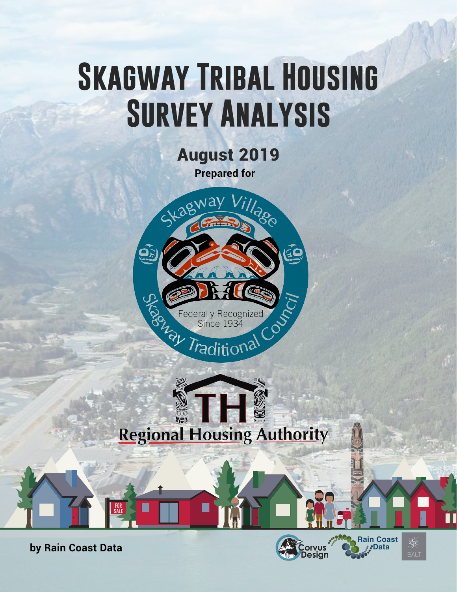# **SKAGWAY TRIBAL HOUSING Survey Analysis**

August 2019 **Prepared for**



# **Regional Housing Authority**

**by Rain Coast Data**<br> **Example 2018**<br> **Example 30**<br> **Example 30**<br> **Example 30**<br> **Example 30**<br> **Design** 

**FOR sale**



**wages**

**Rain Coast** 

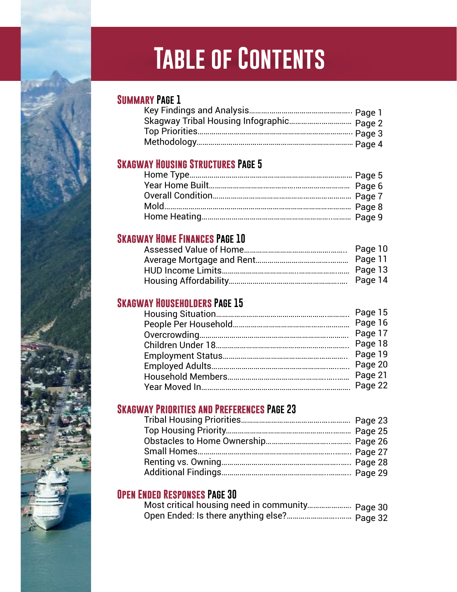# **Table of Contents**

#### **Summary Page 1**

| Skagway Tribal Housing Infographic Page 2 |  |
|-------------------------------------------|--|
|                                           |  |
|                                           |  |

#### **Skagway Housing Structures Page 5**

#### **Skagway Home Finances Page 10**

#### **Skagway Householders Page 15**

|  | Page 15 |
|--|---------|
|  | Page 16 |
|  | Page 17 |
|  | Page 18 |
|  | Page 19 |
|  | Page 20 |
|  | Page 21 |
|  | Page 22 |
|  |         |

#### **Skagway Priorities and Preferences Page 23**

#### **Open Ended Responses Page 30**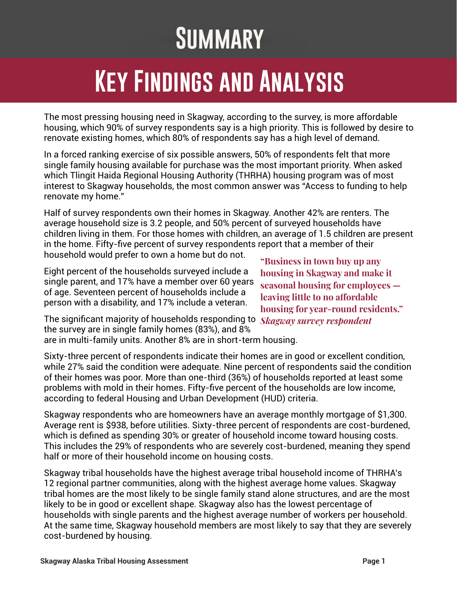# **Summary**

### **Key Findings and Analysis**

The most pressing housing need in Skagway, according to the survey, is more affordable housing, which 90% of survey respondents say is a high priority. This is followed by desire to renovate existing homes, which 80% of respondents say has a high level of demand.

In a forced ranking exercise of six possible answers, 50% of respondents felt that more single family housing available for purchase was the most important priority. When asked which Tlingit Haida Regional Housing Authority (THRHA) housing program was of most interest to Skagway households, the most common answer was "Access to funding to help renovate my home."

Half of survey respondents own their homes in Skagway. Another 42% are renters. The average household size is 3.2 people, and 50% percent of surveyed households have children living in them. For those homes with children, an average of 1.5 children are present in the home. Fifty-five percent of survey respondents report that a member of their household would prefer to own a home but do not.

Eight percent of the households surveyed include a single parent, and 17% have a member over 60 years of age. Seventeen percent of households include a person with a disability, and 17% include a veteran.

**"Business in town buy up any housing in Skagway and make it seasonal housing for employees leaving little to no afordable housing for year-round residents."** 

The significant majority of households responding to *Skagway survey respondent*the survey are in single family homes (83%), and 8% are in multi-family units. Another 8% are in short-term housing.

Sixty-three percent of respondents indicate their homes are in good or excellent condition, while 27% said the condition were adequate. Nine percent of respondents said the condition of their homes was poor. More than one-third (36%) of households reported at least some problems with mold in their homes. Fifty-five percent of the households are low income, according to federal Housing and Urban Development (HUD) criteria.

Skagway respondents who are homeowners have an average monthly mortgage of \$1,300. Average rent is \$938, before utilities. Sixty-three percent of respondents are cost-burdened, which is defined as spending 30% or greater of household income toward housing costs. This includes the 29% of respondents who are severely cost-burdened, meaning they spend half or more of their household income on housing costs.

Skagway tribal households have the highest average tribal household income of THRHA's 12 regional partner communities, along with the highest average home values. Skagway tribal homes are the most likely to be single family stand alone structures, and are the most likely to be in good or excellent shape. Skagway also has the lowest percentage of households with single parents and the highest average number of workers per household. At the same time, Skagway household members are most likely to say that they are severely cost-burdened by housing.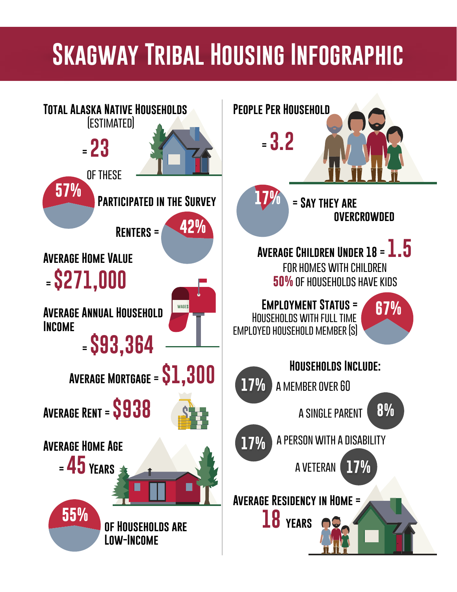### **Skagway Tribal Housing Infographic**

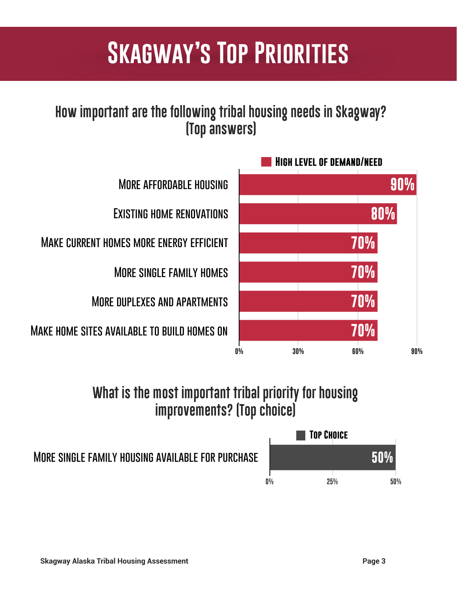### **Skagway's Top Priorities**

### **How important are the following tribal housing needs in Skagway? (Top answers)**



### **What is the most important tribal priority for housing improvements? (Top choice)**

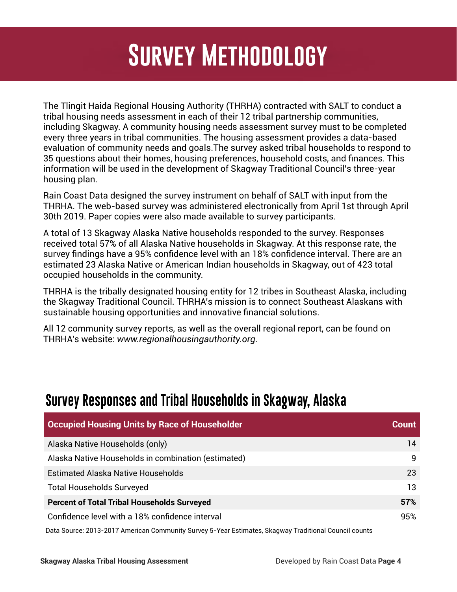### All Occupied households Skagway = **423 Survey Methodology**

The Tlingit Haida Regional Housing Authority (THRHA) contracted with SALT to conduct a tribal housing needs assessment in each of their 12 tribal partnership communities, including Skagway. A community housing needs assessment survey must to be completed every three years in tribal communities. The housing assessment provides a data-based evaluation of community needs and goals.The survey asked tribal households to respond to 35 questions about their homes, housing preferences, household costs, and finances. This information will be used in the development of Skagway Traditional Council's three-year housing plan.

Rain Coast Data designed the survey instrument on behalf of SALT with input from the THRHA. The web-based survey was administered electronically from April 1st through April 30th 2019. Paper copies were also made available to survey participants.

A total of 13 Skagway Alaska Native households responded to the survey. Responses received total 57% of all Alaska Native households in Skagway. At this response rate, the survey findings have a 95% confidence level with an 18% confidence interval. There are an estimated 23 Alaska Native or American Indian households in Skagway, out of 423 total occupied households in the community.

THRHA is the tribally designated housing entity for 12 tribes in Southeast Alaska, including the Skagway Traditional Council. THRHA's mission is to connect Southeast Alaskans with sustainable housing opportunities and innovative financial solutions.

All 12 community survey reports, as well as the overall regional report, can be found on THRHA's website: *www.regionalhousingauthority.org*.

#### **Survey Responses and Tribal Households in Skagway, Alaska**

| <b>Occupied Housing Units by Race of Householder</b> | <b>Count</b> |
|------------------------------------------------------|--------------|
| Alaska Native Households (only)                      | 14           |
| Alaska Native Households in combination (estimated)  | 9            |
| <b>Estimated Alaska Native Households</b>            | 23           |
| <b>Total Households Surveyed</b>                     | 13           |
| <b>Percent of Total Tribal Households Surveyed</b>   | 57%          |
| Confidence level with a 18% confidence interval      | 95%          |
|                                                      |              |

Data Source: 2013-2017 American Community Survey 5-Year Estimates, Skagway Traditional Council counts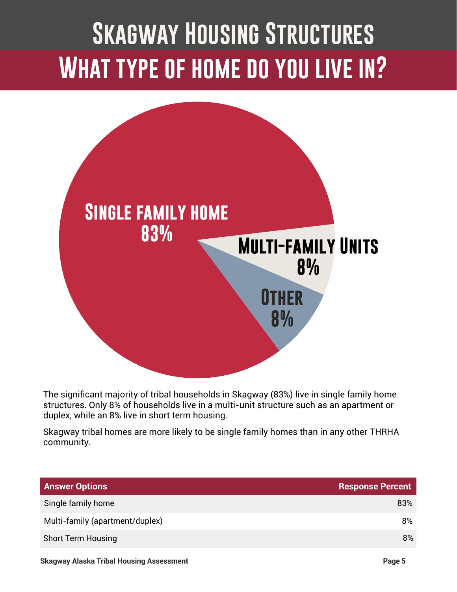# **Skagway Housing Structures What type of home do you live in?**



The significant majority of tribal households in Skagway (83%) live in single family home structures. Only 8% of households live in a multi-unit structure such as an apartment or duplex, while an 8% live in short term housing.

Skagway tribal homes are more likely to be single family homes than in any other THRHA community.

| <b>Answer Options</b>           | <b>Response Percent</b> |
|---------------------------------|-------------------------|
| Single family home              | 83%                     |
| Multi-family (apartment/duplex) | 8%                      |
| <b>Short Term Housing</b>       | 8%                      |
|                                 |                         |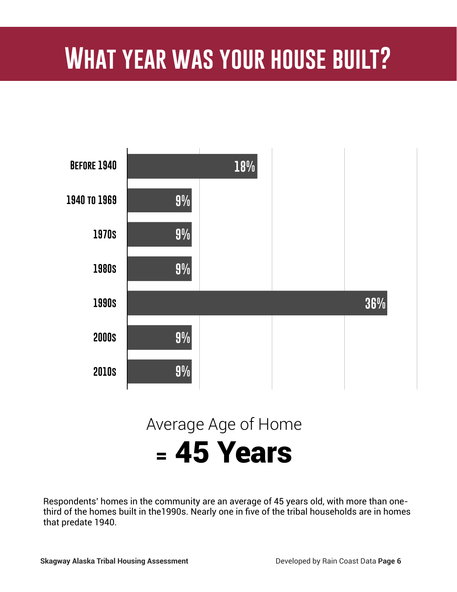### **What year was your house built?**



Respondents' homes in the community are an average of 45 years old, with more than onethird of the homes built in the1990s. Nearly one in five of the tribal households are in homes that predate 1940.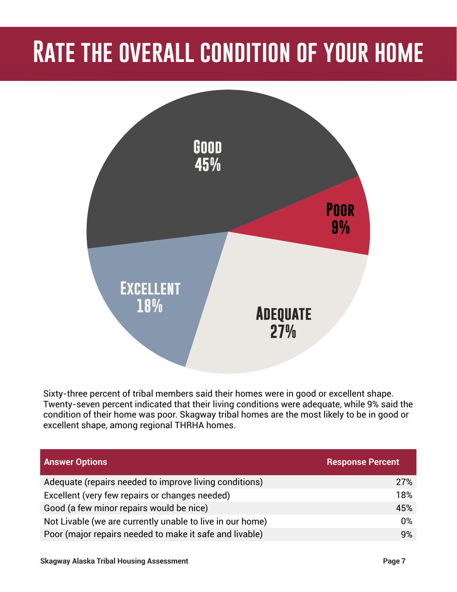### **Rate the overall condition of your home**



Sixty-three percent of tribal members said their homes were in good or excellent shape. Twenty-seven percent indicated that their living conditions were adequate, while 9% said the condition of their home was poor. Skagway tribal homes are the most likely to be in good or excellent shape, among regional THRHA homes.

| <b>Answer Options</b>                                     | <b>Response Percent</b> |
|-----------------------------------------------------------|-------------------------|
| Adequate (repairs needed to improve living conditions)    | 27%                     |
| Excellent (very few repairs or changes needed)            | 18%                     |
| Good (a few minor repairs would be nice)                  | 45%                     |
| Not Livable (we are currently unable to live in our home) | $0\%$                   |
| Poor (major repairs needed to make it safe and livable)   | 9%                      |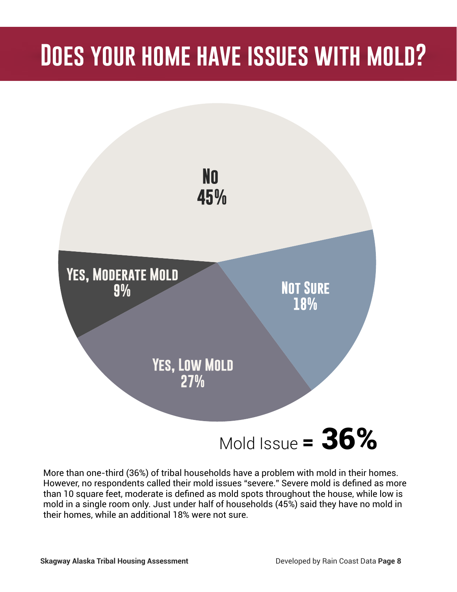### **Does your home have issues with mold?**



More than one-third (36%) of tribal households have a problem with mold in their homes. However, no respondents called their mold issues "severe." Severe mold is defined as more than 10 square feet, moderate is defined as mold spots throughout the house, while low is mold in a single room only. Just under half of households (45%) said they have no mold in their homes, while an additional 18% were not sure.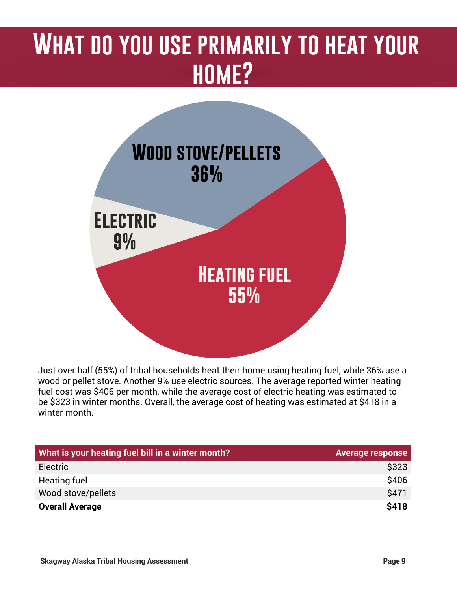### **What do you use primarily to heat your home?**



Just over half (55%) of tribal households heat their home using heating fuel, while 36% use a wood or pellet stove. Another 9% use electric sources. The average reported winter heating fuel cost was \$406 per month, while the average cost of electric heating was estimated to be \$323 in winter months. Overall, the average cost of heating was estimated at \$418 in a winter month

| What is your heating fuel bill in a winter month? | <b>Average response</b> |
|---------------------------------------------------|-------------------------|
| Electric                                          | \$323                   |
| Heating fuel                                      | \$406                   |
| Wood stove/pellets                                | \$471                   |
| <b>Overall Average</b>                            | \$418                   |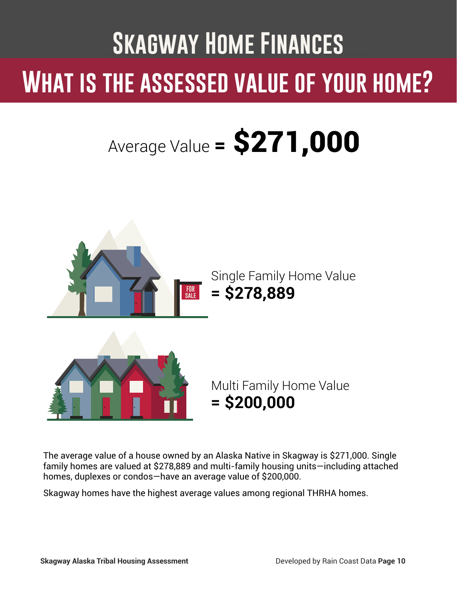# **Skagway Home Finances What is the assessed value of your home?**

# Average Value =  $$271,000$



The average value of a house owned by an Alaska Native in Skagway is \$271,000. Single family homes are valued at \$278,889 and multi-family housing units—including attached homes, duplexes or condos—have an average value of \$200,000.

Skagway homes have the highest average values among regional THRHA homes.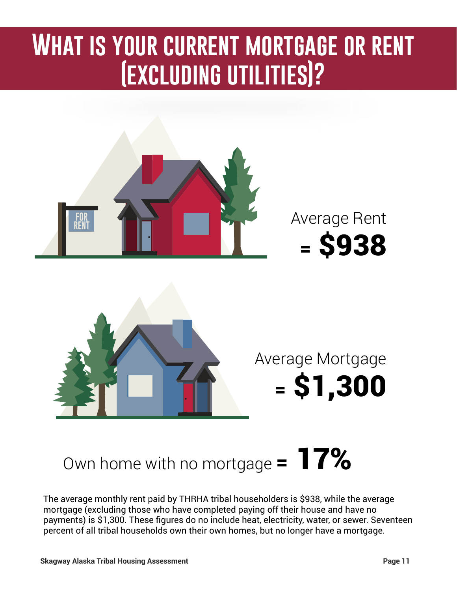### **What is your current mortgage or rent (excluding utilities)?**



### Own home with no mortgage  $= 17\%$

The average monthly rent paid by THRHA tribal householders is \$938, while the average mortgage (excluding those who have completed paying off their house and have no payments) is \$1,300. These figures do no include heat, electricity, water, or sewer. Seventeen percent of all tribal households own their own homes, but no longer have a mortgage.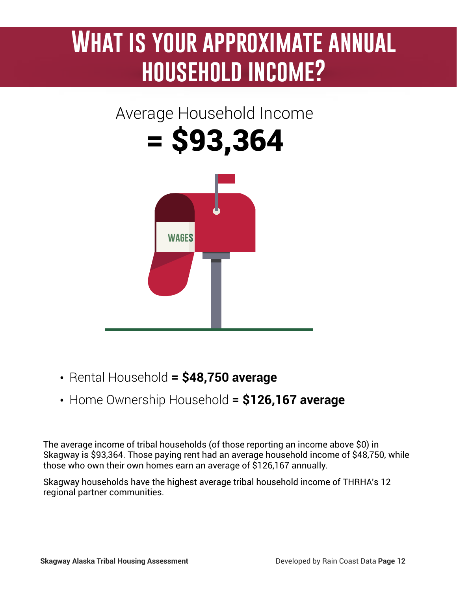### **What is your approximate annual household income?**

### Average Household Income

= \$93,364

**wages**

- Rental Household **= \$48,750 average**
- Home Ownership Household **= \$126,167 average**

The average income of tribal households (of those reporting an income above \$0) in Skagway is \$93,364. Those paying rent had an average household income of \$48,750, while those who own their own homes earn an average of \$126,167 annually.

Skagway households have the highest average tribal household income of THRHA's 12 regional partner communities.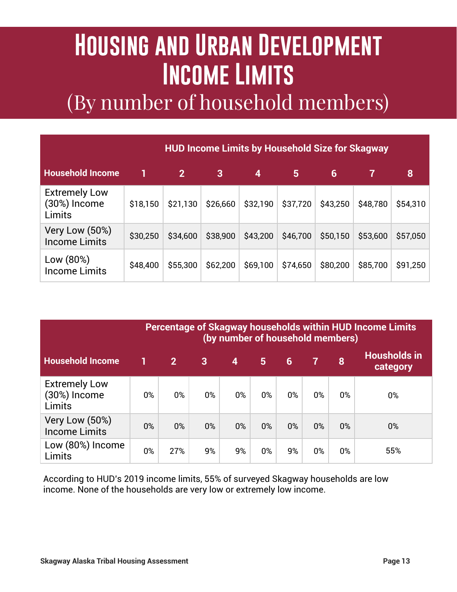### **Housing and Urban Development Income Limits** (By number of household members)

| <b>HUD Income Limits by Household Size for Skagway</b> |          |                |          |          |                |          |          |          |  |
|--------------------------------------------------------|----------|----------------|----------|----------|----------------|----------|----------|----------|--|
| <b>Household Income</b>                                |          | $\overline{2}$ | 3        | 4        | $5\phantom{1}$ | 6        | 7        | 8        |  |
| <b>Extremely Low</b><br>(30%) Income<br>Limits         | \$18,150 | \$21,130       | \$26,660 | \$32,190 | \$37,720       | \$43,250 | \$48,780 | \$54,310 |  |
| Very Low (50%)<br><b>Income Limits</b>                 | \$30,250 | \$34,600       | \$38,900 | \$43,200 | \$46,700       | \$50,150 | \$53,600 | \$57,050 |  |
| Low (80%)<br><b>Income Limits</b>                      | \$48,400 | \$55,300       | \$62,200 | \$69,100 | \$74,650       | \$80,200 | \$85,700 | \$91,250 |  |

| <b>Percentage of Skagway households within HUD Income Limits</b><br>(by number of household members) |    |                |                |                         |       |       |                |       |                                 |
|------------------------------------------------------------------------------------------------------|----|----------------|----------------|-------------------------|-------|-------|----------------|-------|---------------------------------|
| <b>Household Income</b>                                                                              |    | 2 <sup>1</sup> | $\overline{3}$ | $\overline{\mathbf{4}}$ | 5     | 6     | $\overline{7}$ | 8     | <b>Housholds in</b><br>category |
| <b>Extremely Low</b><br>(30%) Income<br>Limits                                                       | 0% | 0%             | $0\%$          | 0%                      | $0\%$ | $0\%$ | 0%             | $0\%$ | 0%                              |
| Very Low (50%)<br><b>Income Limits</b>                                                               | 0% | $0\%$          | $0\%$          | $0\%$                   | 0%    | $0\%$ | 0%             | 0%    | $0\%$                           |
| Low (80%) Income<br>Limits                                                                           | 0% | 27%            | 9%             | 9%                      | 0%    | 9%    | 0%             | $0\%$ | 55%                             |

According to HUD's 2019 income limits, 55% of surveyed Skagway households are low income. None of the households are very low or extremely low income.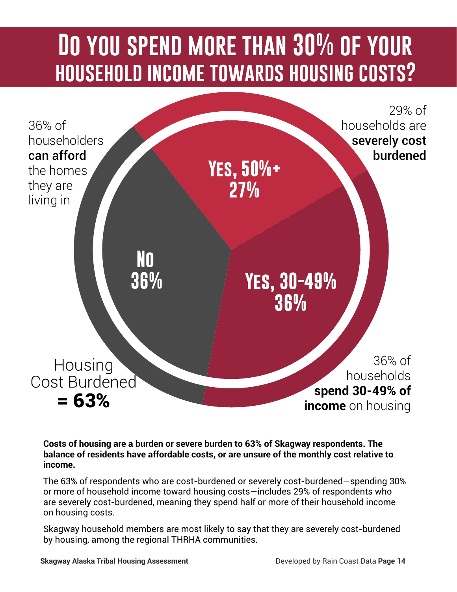### **Do you spend more than 30% of your household income towards housing costs?**



#### **Costs of housing are a burden or severe burden to 63% of Skagway respondents. The balance of residents have affordable costs, or are unsure of the monthly cost relative to income.**

The 63% of respondents who are cost-burdened or severely cost-burdened—spending 30% or more of household income toward housing costs—includes 29% of respondents who are severely cost-burdened, meaning they spend half or more of their household income on housing costs.

Skagway household members are most likely to say that they are severely cost-burdened by housing, among the regional THRHA communities.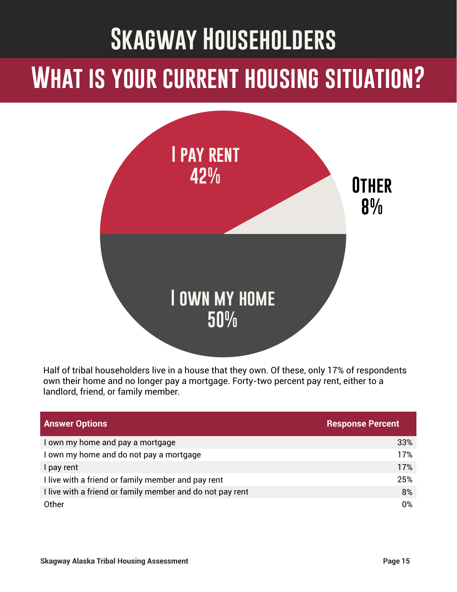### **Skagway Householders**

### **What is your current housing situation?**



Half of tribal householders live in a house that they own. Of these, only 17% of respondents own their home and no longer pay a mortgage. Forty-two percent pay rent, either to a landlord, friend, or family member.

| <b>Answer Options</b>                                     | <b>Response Percent</b> |
|-----------------------------------------------------------|-------------------------|
| I own my home and pay a mortgage                          | 33%                     |
| I own my home and do not pay a mortgage                   | 17%                     |
| I pay rent                                                | 17%                     |
| I live with a friend or family member and pay rent        | 25%                     |
| I live with a friend or family member and do not pay rent | 8%                      |
| Other                                                     | 0%                      |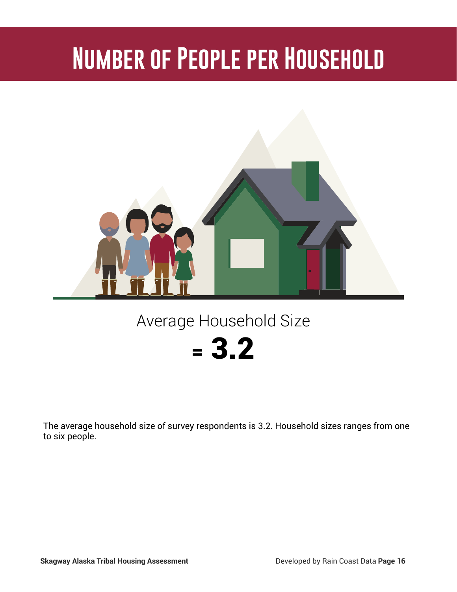## **Number of People per Household**



### Average Household Size

### $= 3.2$

The average household size of survey respondents is 3.2. Household sizes ranges from one to six people.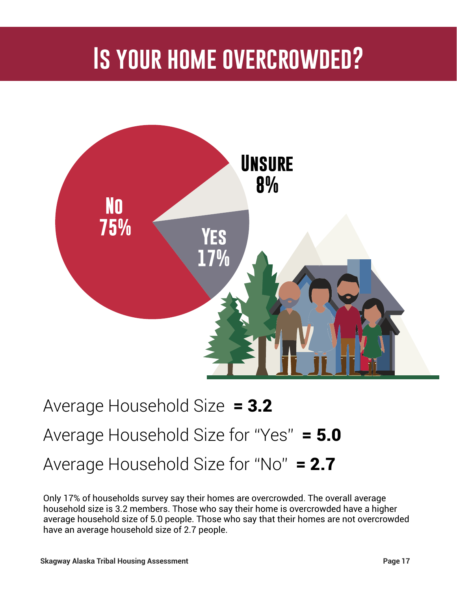### **Is your home overcrowded?**



### Average Household Size = 3.2 Average Household Size for "Yes" = 5.0 Average Household Size for "No"  $= 2.7$

Only 17% of households survey say their homes are overcrowded. The overall average household size is 3.2 members. Those who say their home is overcrowded have a higher average household size of 5.0 people. Those who say that their homes are not overcrowded have an average household size of 2.7 people.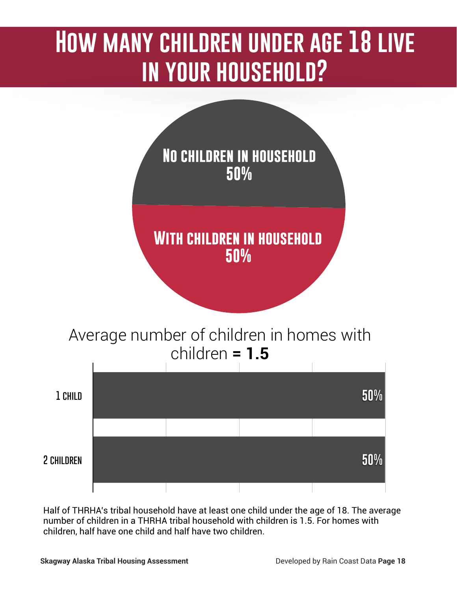### **How many children under age 18 live in your household?**



Half of THRHA's tribal household have at least one child under the age of 18. The average number of children in a THRHA tribal household with children is 1.5. For homes with children, half have one child and half have two children.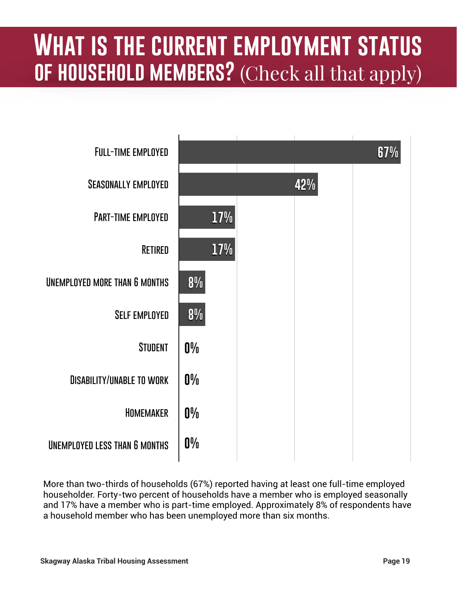### **What is the current employment status of household members?** (Check all that apply)



More than two-thirds of households (67%) reported having at least one full-time employed householder. Forty-two percent of households have a member who is employed seasonally and 17% have a member who is part-time employed. Approximately 8% of respondents have a household member who has been unemployed more than six months.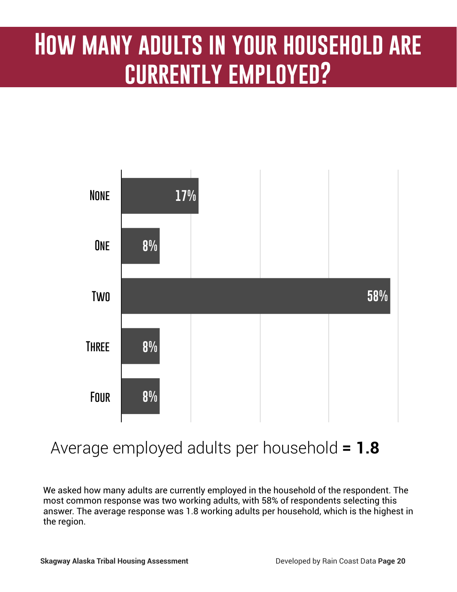### **How many adults in your household are currently employed?**



### Average employed adults per household **= 1.8**

We asked how many adults are currently employed in the household of the respondent. The most common response was two working adults, with 58% of respondents selecting this answer. The average response was 1.8 working adults per household, which is the highest in the region.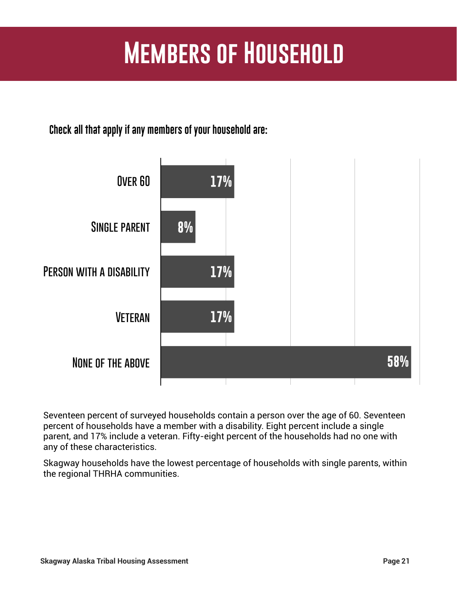### **Members of Household**

**Check all that apply if any members of your household are:**



Seventeen percent of surveyed households contain a person over the age of 60. Seventeen percent of households have a member with a disability. Eight percent include a single parent, and 17% include a veteran. Fifty-eight percent of the households had no one with any of these characteristics.

Skagway households have the lowest percentage of households with single parents, within the regional THRHA communities.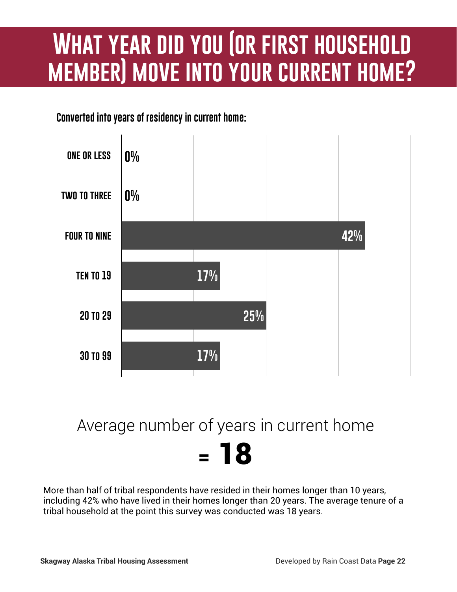### **What year did you (or first household member) move into your current home?**

**Converted into years of residency in current home:**



### Average number of years in current home = 18

More than half of tribal respondents have resided in their homes longer than 10 years, including 42% who have lived in their homes longer than 20 years. The average tenure of a tribal household at the point this survey was conducted was 18 years.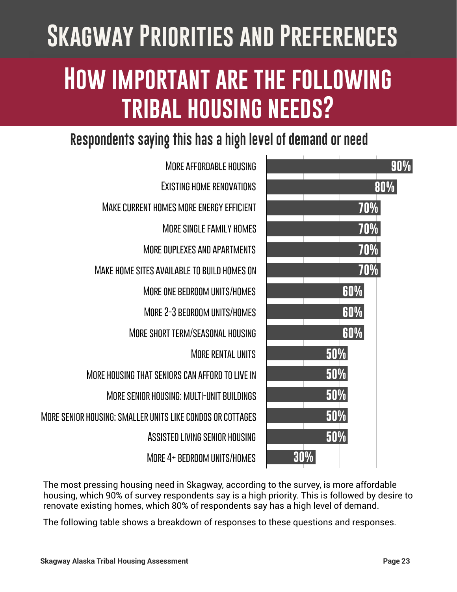# **Skagway Priorities and Preferences How important are the following tribal housing needs?**

### **Respondents saying this has a high level of demand or need**



**More affordable housing Existing home renovations Make current homes more energy efficient More single family homes More duplexes and apartments Make home sites available to build homes on More one bedroom units/homes More 2-3 bedroom units/homes More short term/seasonal housing More rental units More housing that seniors can afford to live in More senior housing: multi-unit buildings More senior housing: smaller units like condos or cottages Assisted living senior housing More 4+ bedroom units/homes**

The most pressing housing need in Skagway, according to the survey, is more affordable housing, which 90% of survey respondents say is a high priority. This is followed by desire to renovate existing homes, which 80% of respondents say has a high level of demand.

The following table shows a breakdown of responses to these questions and responses.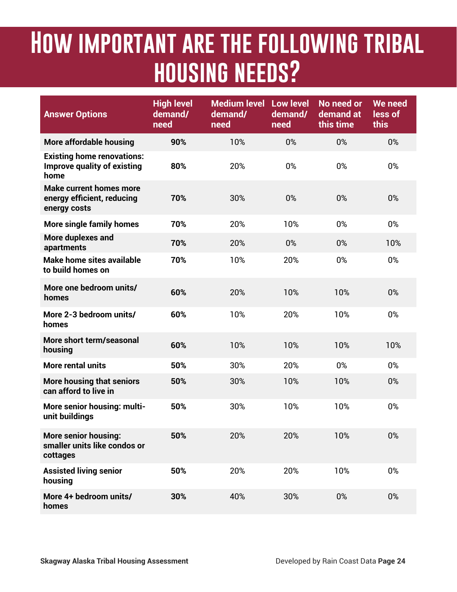### **How important are the following tribal housing needs?**

| <b>Answer Options</b>                                                           | <b>High level</b><br>demand/<br>need | <b>Medium level Low level</b><br>demand/<br>need | demand/<br>need | No need or<br>demand at<br>this time | We need<br>less of<br>this |
|---------------------------------------------------------------------------------|--------------------------------------|--------------------------------------------------|-----------------|--------------------------------------|----------------------------|
| <b>More affordable housing</b>                                                  | 90%                                  | 10%                                              | 0%              | 0%                                   | 0%                         |
| <b>Existing home renovations:</b><br><b>Improve quality of existing</b><br>home | 80%                                  | 20%                                              | 0%              | 0%                                   | 0%                         |
| <b>Make current homes more</b><br>energy efficient, reducing<br>energy costs    | 70%                                  | 30%                                              | 0%              | 0%                                   | 0%                         |
| <b>More single family homes</b>                                                 | 70%                                  | 20%                                              | 10%             | 0%                                   | 0%                         |
| More duplexes and<br>apartments                                                 | 70%                                  | 20%                                              | 0%              | 0%                                   | 10%                        |
| Make home sites available<br>to build homes on                                  | 70%                                  | 10%                                              | 20%             | 0%                                   | 0%                         |
| More one bedroom units/<br>homes                                                | 60%                                  | 20%                                              | 10%             | 10%                                  | 0%                         |
| More 2-3 bedroom units/<br>homes                                                | 60%                                  | 10%                                              | 20%             | 10%                                  | 0%                         |
| More short term/seasonal<br>housing                                             | 60%                                  | 10%                                              | 10%             | 10%                                  | 10%                        |
| <b>More rental units</b>                                                        | 50%                                  | 30%                                              | 20%             | 0%                                   | 0%                         |
| <b>More housing that seniors</b><br>can afford to live in                       | 50%                                  | 30%                                              | 10%             | 10%                                  | 0%                         |
| More senior housing: multi-<br>unit buildings                                   | 50%                                  | 30%                                              | 10%             | 10%                                  | 0%                         |
| <b>More senior housing:</b><br>smaller units like condos or<br>cottages         | 50%                                  | 20%                                              | 20%             | 10%                                  | 0%                         |
| <b>Assisted living senior</b><br>housing                                        | 50%                                  | 20%                                              | 20%             | 10%                                  | 0%                         |
| More 4+ bedroom units/<br>homes                                                 | 30%                                  | 40%                                              | 30%             | 0%                                   | 0%                         |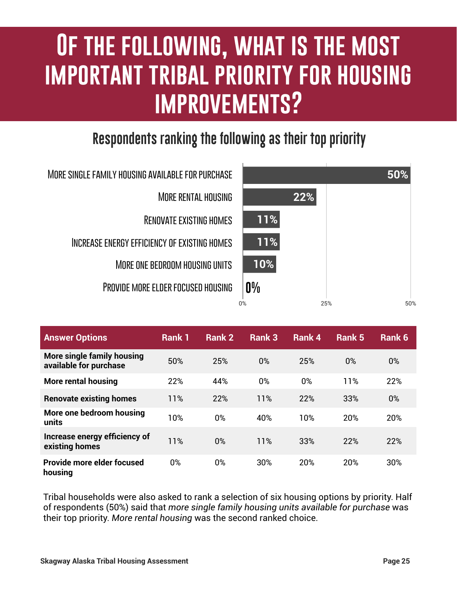### **IF THE FOLLOWING, WHAT IS THE MOST IMPORTANT TRIBAL PRIORITY FOR HOUSING not, what are the obstacles in approximation of the obstacles in the obstacle of the obstacles in the obstacles in improvements?**

### **Respondents ranking the following as their top priority**



**More single family housing available for purchase More rental housing Renovate existing homes Increase energy efficiency of existing homes More one bedroom housing units Provide more elder focused housing**

| <b>Answer Options</b>                                | Rank 1 | Rank 2 | Rank 3 | Rank 4 | Rank 5 | Rank 6 |
|------------------------------------------------------|--------|--------|--------|--------|--------|--------|
| More single family housing<br>available for purchase | 50%    | 25%    | 0%     | 25%    | 0%     | 0%     |
| <b>More rental housing</b>                           | 22%    | 44%    | $0\%$  | 0%     | 11%    | 22%    |
| <b>Renovate existing homes</b>                       | 11%    | 22%    | 11%    | 22%    | 33%    | 0%     |
| More one bedroom housing<br>units                    | 10%    | $0\%$  | 40%    | 10%    | 20%    | 20%    |
| Increase energy efficiency of<br>existing homes      | 11%    | $0\%$  | 11%    | 33%    | 22%    | 22%    |
| Provide more elder focused<br>housing                | 0%     | 0%     | 30%    | 20%    | 20%    | 30%    |

Tribal households were also asked to rank a selection of six housing options by priority. Half of respondents (50%) said that *more single family housing units available for purchase* was their top priority. *More rental housing* was the second ranked choice.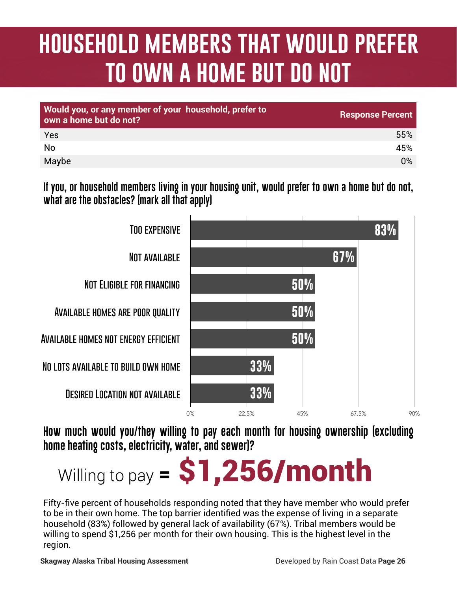### **household members that would prefer to own a home but do not**

| Would you, or any member of your household, prefer to<br>own a home but do not? | <b>Response Percent</b> |
|---------------------------------------------------------------------------------|-------------------------|
| Yes                                                                             | 55%                     |
| <b>No</b>                                                                       | 45%                     |
| Maybe                                                                           | $0\%$                   |

**If you, or household members living in your housing unit, would prefer to own a home but do not, what are the obstacles? (mark all that apply)**



**How much would you/they willing to pay each month for housing ownership (excluding home heating costs, electricity, water, and sewer)?**

# Willing to pay  $=$  \$1,256/month

Fifty-five percent of households responding noted that they have member who would prefer to be in their own home. The top barrier identified was the expense of living in a separate household (83%) followed by general lack of availability (67%). Tribal members would be willing to spend \$1,256 per month for their own housing. This is the highest level in the region.

**Skagway Alaska Tribal Housing Assessment** Developed by Rain Coast Data **Page 26**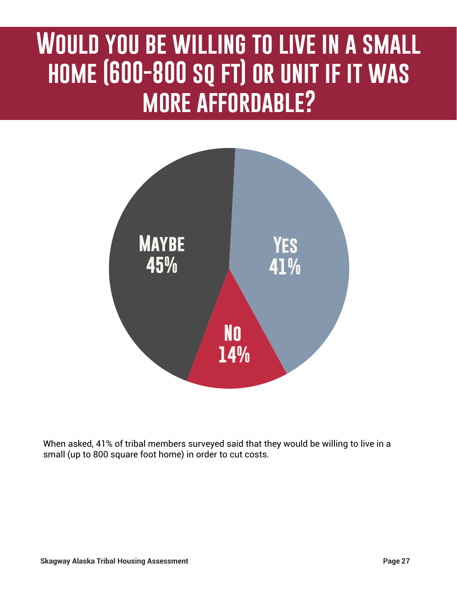### **Would you be willing to live in a small home (600-800 sq ft) or unit if it was more affordable?**



When asked, 41% of tribal members surveyed said that they would be willing to live in a small (up to 800 square foot home) in order to cut costs.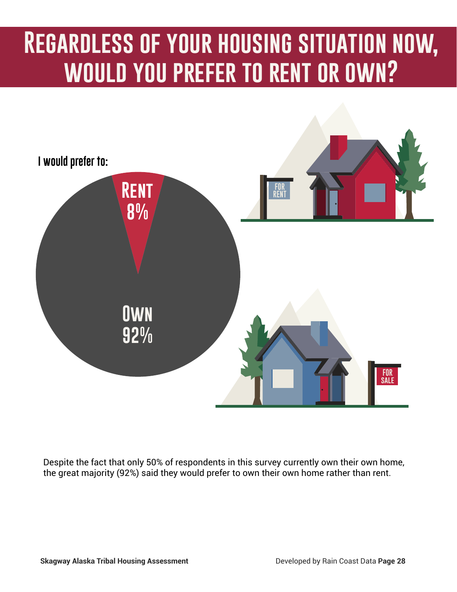### **Regardless of your housing situation now, would you prefer to rent or own?**



Despite the fact that only 50% of respondents in this survey currently own their own home, the great majority (92%) said they would prefer to own their own home rather than rent.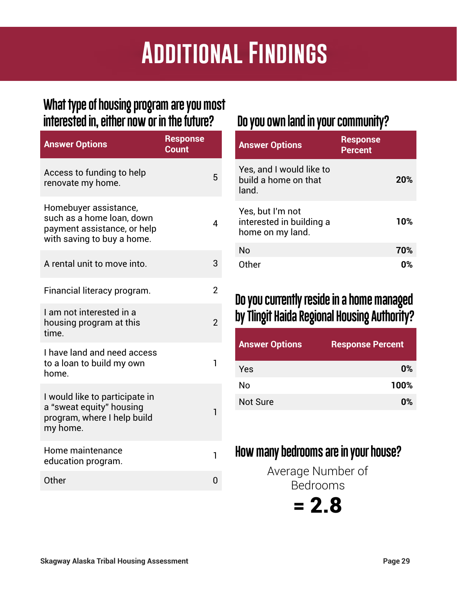### **Additional Findings**

#### **What type of housing program are you most interested in, either now or in the future?**

| <b>Answer Options</b>                                                                                           | <b>Response</b><br><b>Count</b> |                          |
|-----------------------------------------------------------------------------------------------------------------|---------------------------------|--------------------------|
| Access to funding to help<br>renovate my home.                                                                  |                                 | 5                        |
| Homebuyer assistance,<br>such as a home loan, down<br>payment assistance, or help<br>with saving to buy a home. |                                 | 4                        |
| A rental unit to move into.                                                                                     |                                 | 3                        |
| Financial literacy program.                                                                                     |                                 | 2                        |
| I am not interested in a<br>housing program at this<br>time.                                                    |                                 | $\overline{\phantom{0}}$ |
| I have land and need access<br>to a loan to build my own<br>home.                                               |                                 | 1                        |
| I would like to participate in<br>a "sweat equity" housing<br>program, where I help build<br>my home.           |                                 | 1                        |
| Home maintenance<br>education program.                                                                          |                                 | 1                        |
| Other                                                                                                           |                                 |                          |

#### **Do you own land in your community?**

| <b>Answer Options</b>                                            | <b>Response</b><br><b>Percent</b> |     |
|------------------------------------------------------------------|-----------------------------------|-----|
| Yes, and I would like to<br>build a home on that<br>land.        |                                   | 20% |
| Yes, but I'm not<br>interested in building a<br>home on my land. |                                   | 10% |
| <b>No</b>                                                        |                                   | 70% |
| Other                                                            |                                   |     |

#### **Do you currently reside in a home managed by Tlingit Haida Regional Housing Authority?**

| <b>Answer Options</b> | <b>Response Percent</b> |
|-----------------------|-------------------------|
| Yes                   | $0\%$                   |
| No                    | 100%                    |
| <b>Not Sure</b>       | 0%                      |

### **How many bedrooms are in your house?**

Average Number of Bedrooms

 $= 2.8$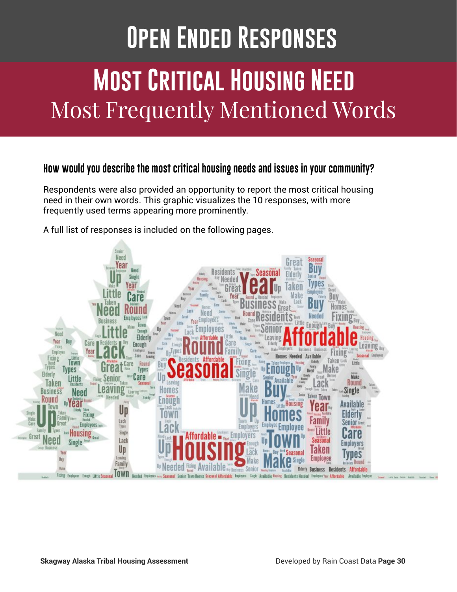# **Most Critical Housing Need** Most Frequently Mentioned Words **Open Ended Responses**

#### **How would you describe the most critical housing needs and issues in your community?**

Respondents were also provided an opportunity to report the most critical housing need in their own words. This graphic visualizes the 10 responses, with more frequently used terms appearing more prominently.



A full list of responses is included on the following pages.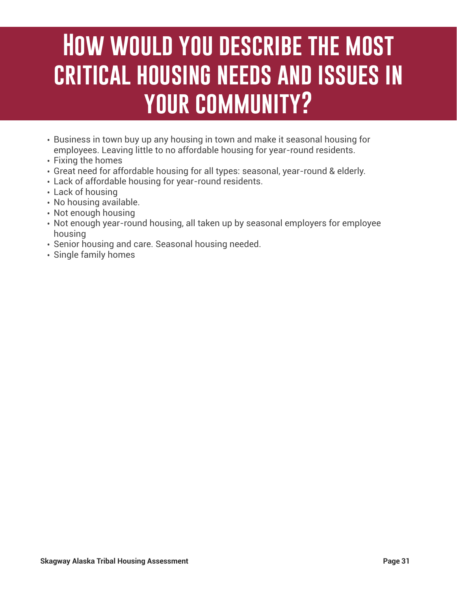### **How would you describe the most critical housing needs and issues in your community?**

- Business in town buy up any housing in town and make it seasonal housing for employees. Leaving little to no affordable housing for year-round residents.
- Fixing the homes
- Great need for affordable housing for all types: seasonal, year-round & elderly.
- Lack of affordable housing for year-round residents.
- Lack of housing
- No housing available.
- Not enough housing
- Not enough year-round housing, all taken up by seasonal employers for employee housing
- Senior housing and care. Seasonal housing needed.
- Single family homes